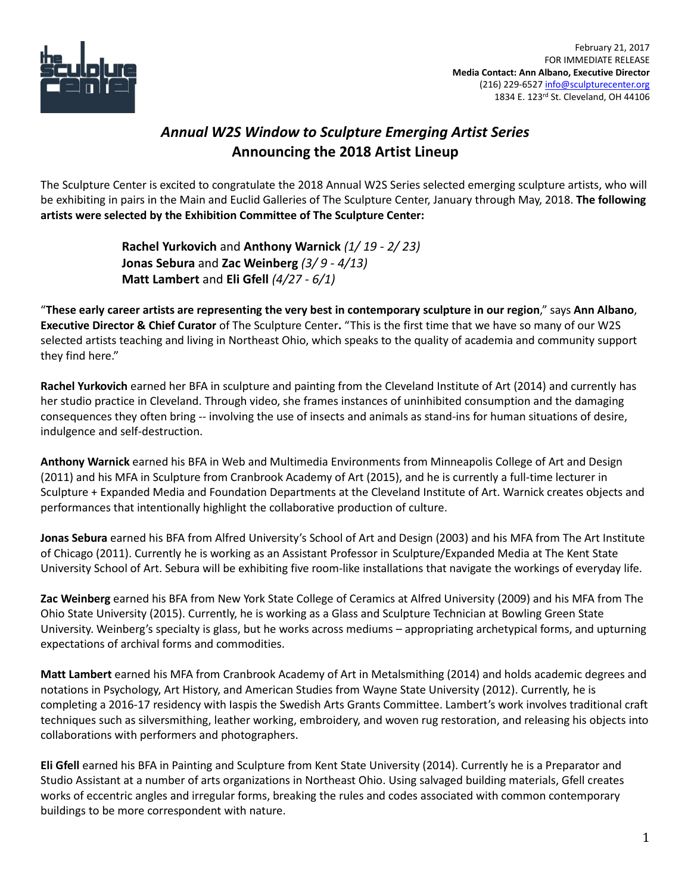

## *Annual W2S Window to Sculpture Emerging Artist Series* **Announcing the 2018 Artist Lineup**

The Sculpture Center is excited to congratulate the 2018 Annual W2S Series selected emerging sculpture artists, who will be exhibiting in pairs in the Main and Euclid Galleries of The Sculpture Center, January through May, 2018. **The following artists were selected by the Exhibition Committee of The Sculpture Center:**

> **Rachel Yurkovich** and **Anthony Warnick** *(1/ 19 - 2/ 23)* **Jonas Sebura** and **Zac Weinberg** *(3/ 9 - 4/13)* **Matt Lambert** and **Eli Gfell** *(4/27 - 6/1)*

"**These early career artists are representing the very best in contemporary sculpture in our region**," says **Ann Albano**, **Executive Director & Chief Curator** of The Sculpture Center**.** "This is the first time that we have so many of our W2S selected artists teaching and living in Northeast Ohio, which speaks to the quality of academia and community support they find here."

**Rachel Yurkovich** earned her BFA in sculpture and painting from the Cleveland Institute of Art (2014) and currently has her studio practice in Cleveland. Through video, she frames instances of uninhibited consumption and the damaging consequences they often bring -- involving the use of insects and animals as stand-ins for human situations of desire, indulgence and self-destruction.

**Anthony Warnick** earned his BFA in Web and Multimedia Environments from Minneapolis College of Art and Design (2011) and his MFA in Sculpture from Cranbrook Academy of Art (2015), and he is currently a full-time lecturer in Sculpture + Expanded Media and Foundation Departments at the Cleveland Institute of Art. Warnick creates objects and performances that intentionally highlight the collaborative production of culture.

**Jonas Sebura** earned his BFA from Alfred University's School of Art and Design (2003) and his MFA from The Art Institute of Chicago (2011). Currently he is working as an Assistant Professor in Sculpture/Expanded Media at The Kent State University School of Art. Sebura will be exhibiting five room-like installations that navigate the workings of everyday life.

**Zac Weinberg** earned his BFA from New York State College of Ceramics at Alfred University (2009) and his MFA from The Ohio State University (2015). Currently, he is working as a Glass and Sculpture Technician at Bowling Green State University. Weinberg's specialty is glass, but he works across mediums – appropriating archetypical forms, and upturning expectations of archival forms and commodities.

**Matt Lambert** earned his MFA from Cranbrook Academy of Art in Metalsmithing (2014) and holds academic degrees and notations in Psychology, Art History, and American Studies from Wayne State University (2012). Currently, he is completing a 2016-17 residency with Iaspis the Swedish Arts Grants Committee. Lambert's work involves traditional craft techniques such as silversmithing, leather working, embroidery, and woven rug restoration, and releasing his objects into collaborations with performers and photographers.

**Eli Gfell** earned his BFA in Painting and Sculpture from Kent State University (2014). Currently he is a Preparator and Studio Assistant at a number of arts organizations in Northeast Ohio. Using salvaged building materials, Gfell creates works of eccentric angles and irregular forms, breaking the rules and codes associated with common contemporary buildings to be more correspondent with nature.